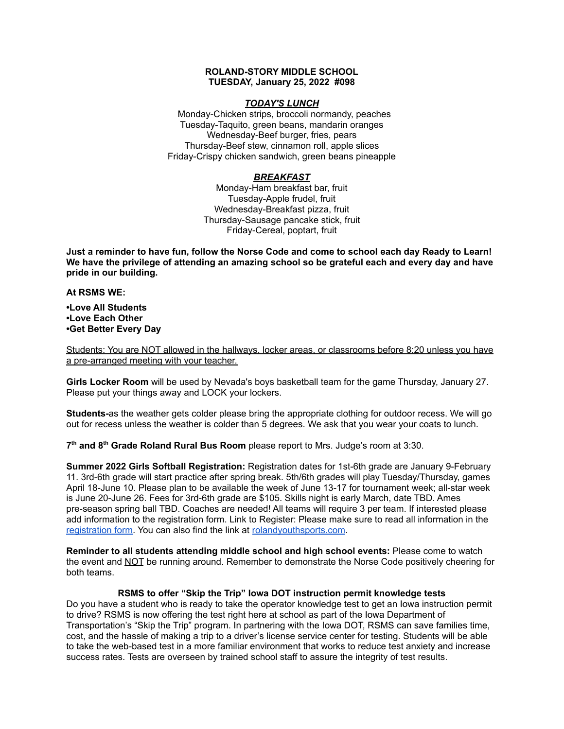## **ROLAND-STORY MIDDLE SCHOOL TUESDAY, January 25, 2022 #098**

## *TODAY'S LUNCH*

Monday-Chicken strips, broccoli normandy, peaches Tuesday-Taquito, green beans, mandarin oranges Wednesday-Beef burger, fries, pears Thursday-Beef stew, cinnamon roll, apple slices Friday-Crispy chicken sandwich, green beans pineapple

# *BREAKFAST*

Monday-Ham breakfast bar, fruit Tuesday-Apple frudel, fruit Wednesday-Breakfast pizza, fruit Thursday-Sausage pancake stick, fruit Friday-Cereal, poptart, fruit

Just a reminder to have fun, follow the Norse Code and come to school each day Ready to Learn! **We have the privilege of attending an amazing school so be grateful each and every day and have pride in our building.**

### **At RSMS WE:**

**•Love All Students •Love Each Other •Get Better Every Day**

Students: You are NOT allowed in the hallways, locker areas, or classrooms before 8:20 unless you have a pre-arranged meeting with your teacher.

**Girls Locker Room** will be used by Nevada's boys basketball team for the game Thursday, January 27. Please put your things away and LOCK your lockers.

**Students-**as the weather gets colder please bring the appropriate clothing for outdoor recess. We will go out for recess unless the weather is colder than 5 degrees. We ask that you wear your coats to lunch.

**7 th and 8 th Grade Roland Rural Bus Room** please report to Mrs. Judge's room at 3:30.

**Summer 2022 Girls Softball Registration:** Registration dates for 1st-6th grade are January 9-February 11. 3rd-6th grade will start practice after spring break. 5th/6th grades will play Tuesday/Thursday, games April 18-June 10. Please plan to be available the week of June 13-17 for tournament week; all-star week is June 20-June 26. Fees for 3rd-6th grade are \$105. Skills night is early March, date TBD. Ames pre-season spring ball TBD. Coaches are needed! All teams will require 3 per team. If interested please add information to the registration form. Link to Register: Please make sure to read all information in th[e](https://rolandyouthsports.com/summer-2022-softball-registration-form/) [registration](https://rolandyouthsports.com/summer-2022-softball-registration-form/) form. You can also find the link at [rolandyouthsports.com](http://rolandyouthsports.com/).

**Reminder to all students attending middle school and high school events:** Please come to watch the event and NOT be running around. Remember to demonstrate the Norse Code positively cheering for both teams.

#### **RSMS to offer "Skip the Trip" Iowa DOT instruction permit knowledge tests**

Do you have a student who is ready to take the operator knowledge test to get an Iowa instruction permit to drive? RSMS is now offering the test right here at school as part of the Iowa Department of Transportation's "Skip the Trip" program. In partnering with the Iowa DOT, RSMS can save families time, cost, and the hassle of making a trip to a driver's license service center for testing. Students will be able to take the web-based test in a more familiar environment that works to reduce test anxiety and increase success rates. Tests are overseen by trained school staff to assure the integrity of test results.